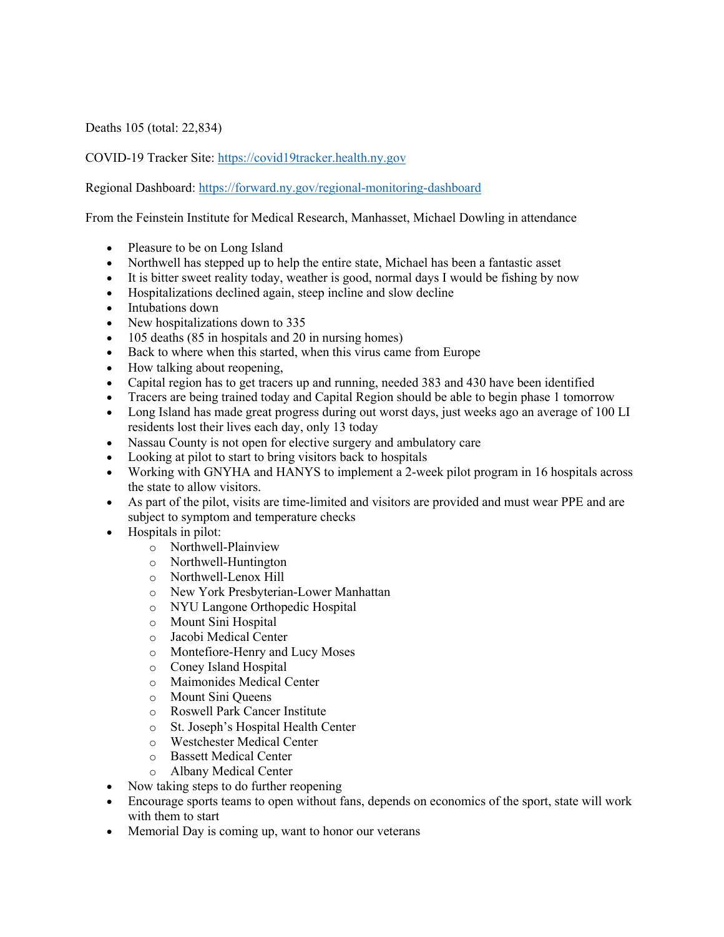Deaths 105 (total: 22,834)

## COVID-19 Tracker Site: https://covid19tracker.health.ny.gov

Regional Dashboard: https://forward.ny.gov/regional-monitoring-dashboard

From the Feinstein Institute for Medical Research, Manhasset, Michael Dowling in attendance

- Pleasure to be on Long Island
- Northwell has stepped up to help the entire state, Michael has been a fantastic asset
- It is bitter sweet reality today, weather is good, normal days I would be fishing by now
- Hospitalizations declined again, steep incline and slow decline
- Intubations down
- New hospitalizations down to 335
- 105 deaths (85 in hospitals and 20 in nursing homes)
- Back to where when this started, when this virus came from Europe
- How talking about reopening,
- Capital region has to get tracers up and running, needed 383 and 430 have been identified
- Tracers are being trained today and Capital Region should be able to begin phase 1 tomorrow
- Long Island has made great progress during out worst days, just weeks ago an average of 100 LI residents lost their lives each day, only 13 today
- Nassau County is not open for elective surgery and ambulatory care
- Looking at pilot to start to bring visitors back to hospitals
- Working with GNYHA and HANYS to implement a 2-week pilot program in 16 hospitals across the state to allow visitors.
- As part of the pilot, visits are time-limited and visitors are provided and must wear PPE and are subject to symptom and temperature checks
- Hospitals in pilot:
	- o Northwell-Plainview
	- o Northwell-Huntington
	- o Northwell-Lenox Hill
	- o New York Presbyterian-Lower Manhattan
	- o NYU Langone Orthopedic Hospital
	- o Mount Sini Hospital
	- o Jacobi Medical Center
	- o Montefiore-Henry and Lucy Moses
	- o Coney Island Hospital
	- o Maimonides Medical Center
	- o Mount Sini Queens
	- o Roswell Park Cancer Institute
	- o St. Joseph's Hospital Health Center
	- o Westchester Medical Center
	- o Bassett Medical Center
	- o Albany Medical Center
- Now taking steps to do further reopening
- Encourage sports teams to open without fans, depends on economics of the sport, state will work with them to start
- Memorial Day is coming up, want to honor our veterans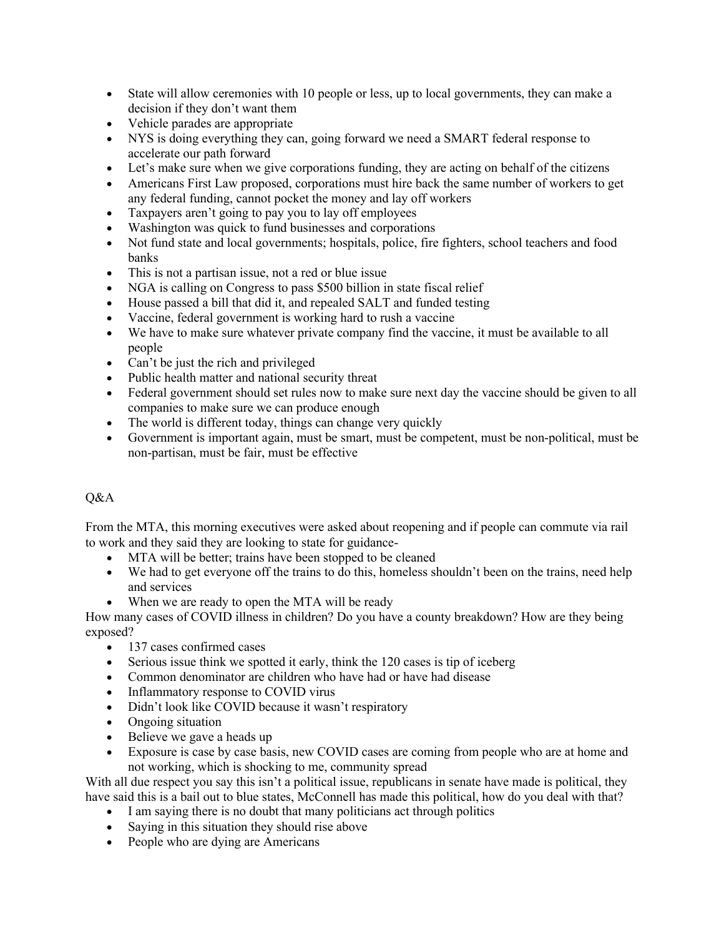- State will allow ceremonies with 10 people or less, up to local governments, they can make a decision if they don't want them
- Vehicle parades are appropriate
- NYS is doing everything they can, going forward we need a SMART federal response to accelerate our path forward
- Let's make sure when we give corporations funding, they are acting on behalf of the citizens
- Americans First Law proposed, corporations must hire back the same number of workers to get any federal funding, cannot pocket the money and lay off workers
- Taxpayers aren't going to pay you to lay off employees
- Washington was quick to fund businesses and corporations
- Not fund state and local governments; hospitals, police, fire fighters, school teachers and food banks
- This is not a partisan issue, not a red or blue issue
- NGA is calling on Congress to pass \$500 billion in state fiscal relief
- House passed a bill that did it, and repealed SALT and funded testing
- Vaccine, federal government is working hard to rush a vaccine
- We have to make sure whatever private company find the vaccine, it must be available to all people
- Can't be just the rich and privileged
- Public health matter and national security threat
- Federal government should set rules now to make sure next day the vaccine should be given to all companies to make sure we can produce enough
- The world is different today, things can change very quickly
- Government is important again, must be smart, must be competent, must be non-political, must be non-partisan, must be fair, must be effective

## Q&A

From the MTA, this morning executives were asked about reopening and if people can commute via rail to work and they said they are looking to state for guidance-

- MTA will be better; trains have been stopped to be cleaned
- We had to get everyone off the trains to do this, homeless shouldn't been on the trains, need help and services
- When we are ready to open the MTA will be ready

How many cases of COVID illness in children? Do you have a county breakdown? How are they being exposed?

- 137 cases confirmed cases
- Serious issue think we spotted it early, think the 120 cases is tip of iceberg
- Common denominator are children who have had or have had disease
- Inflammatory response to COVID virus
- Didn't look like COVID because it wasn't respiratory
- Ongoing situation
- Believe we gave a heads up
- Exposure is case by case basis, new COVID cases are coming from people who are at home and not working, which is shocking to me, community spread

With all due respect you say this isn't a political issue, republicans in senate have made is political, they have said this is a bail out to blue states, McConnell has made this political, how do you deal with that?

- I am saying there is no doubt that many politicians act through politics
- Saying in this situation they should rise above
- People who are dying are Americans